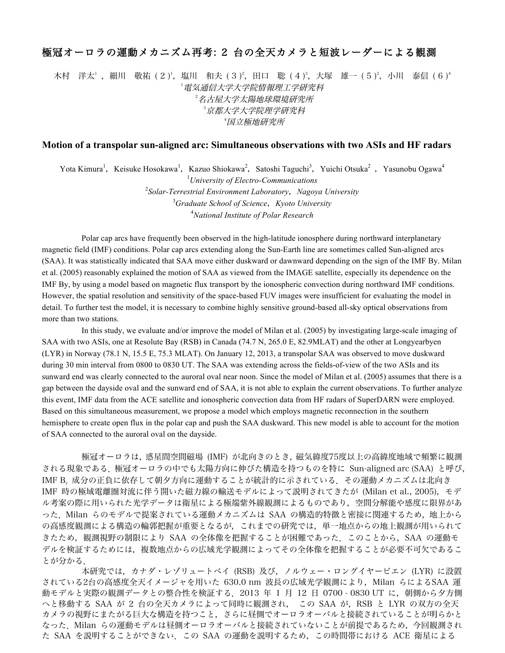## 極冠オーロラの運動メカニズム再考: 2 台の全天カメラと短波レーダーによる観測

木村 洋太' ,細川 敬祐 ( 2 )',塩川 和夫 ( 3 )<sup>2</sup>,田口 聡 ( 4 )<sup>3</sup>,大塚 雄一 ( 5 )<sup>2</sup>,小川 泰信 ( 6 )<sup>4</sup> 1 電気通信大学大学院情報理工学研究科 2 名古屋大学太陽地球環境研究所 3 京都大学大学院理学研究科 4 国立極地研究所

## **Motion of a transpolar sun-aligned arc: Simultaneous observations with two ASIs and HF radars**

Yota Kimura<sup>1</sup>, Keisuke Hosokawa<sup>1</sup>, Kazuo Shiokawa<sup>2</sup>, Satoshi Taguchi<sup>3</sup>, Yuichi Otsuka<sup>2</sup>, Yasunobu Ogawa<sup>4</sup>

 *University of Electro-Communications Solar-Terrestrial Environment Laboratory*,*Nagoya University Graduate School of Science*,*Kyoto University National Institute of Polar Research*

Polar cap arcs have frequently been observed in the high-latitude ionosphere during northward interplanetary magnetic field (IMF) conditions. Polar cap arcs extending along the Sun-Earth line are sometimes called Sun-aligned arcs (SAA). It was statistically indicated that SAA move either duskward or dawnward depending on the sign of the IMF By. Milan et al. (2005) reasonably explained the motion of SAA as viewed from the IMAGE satellite, especially its dependence on the IMF By, by using a model based on magnetic flux transport by the ionospheric convection during northward IMF conditions. However, the spatial resolution and sensitivity of the space-based FUV images were insufficient for evaluating the model in detail. To further test the model, it is necessary to combine highly sensitive ground-based all-sky optical observations from more than two stations.

In this study, we evaluate and/or improve the model of Milan et al. (2005) by investigating large-scale imaging of SAA with two ASIs, one at Resolute Bay (RSB) in Canada (74.7 N, 265.0 E, 82.9MLAT) and the other at Longyearbyen (LYR) in Norway (78.1 N, 15.5 E, 75.3 MLAT). On January 12, 2013, a transpolar SAA was observed to move duskward during 30 min interval from 0800 to 0830 UT. The SAA was extending across the fields-of-view of the two ASIs and its sunward end was clearly connected to the auroral oval near noon. Since the model of Milan et al. (2005) assumes that there is a gap between the dayside oval and the sunward end of SAA, it is not able to explain the current observations. To further analyze this event, IMF data from the ACE satellite and ionospheric convection data from HF radars of SuperDARN were employed. Based on this simultaneous measurement, we propose a model which employs magnetic reconnection in the southern hemisphere to create open flux in the polar cap and push the SAA duskward. This new model is able to account for the motion of SAA connected to the auroral oval on the dayside.

極冠オーロラは,惑星間空間磁場 (IMF) が北向きのとき,磁気緯度75度以上の高緯度地域で頻繁に観測 される現象である.極冠オーロラの中でも太陽方向に伸びた構造を持つものを特に Sun-aligned arc (SAA) と呼び, IMF B。成分の正負に依存して朝夕方向に運動することが統計的に示されている. その運動メカニズムは北向き IMF 時の極域電離圏対流に伴う開いた磁力線の輸送モデルによって説明されてきたが (Milan et al., 2005), モデ ル考案の際に用いられた光学データは衛星による極端紫外線観測によるものであり,空間分解能や感度に限界があ った. Milan らのモデルで提案されている運動メカニズムは SAA の構造的特徴と密接に関連するため、地上から の高感度観測による構造の輪郭把握が重要となるが、これまでの研究では、単一地点からの地上観測が用いられて きたため,観測視野の制限により SAA の全体像を把握することが困難であった.このことから,SAA の運動モ デルを検証するためには,複数地点からの広域光学観測によってその全体像を把握することが必要不可欠であるこ とが分かる.

本研究では,カナダ・レゾリュートベイ (RSB) 及び,ノルウェー・ロングイヤービエン (LYR) に設置 されている2台の高感度全天イメージャを用いた 630.0 nm 波長の広域光学観測により, Milan らによるSAA 運 動モデルと実際の観測データとの整合性を検証する. 2013 年 1 月 12 日 0700 - 0830 UT に, 朝側から夕方側 へと移動する SAA が 2 台の全天カメラによって同時に観測され, この SAA が, RSB と LYR の双方の全天 カメラの視野にまたがる巨大な構造を持つこと,さらに昼側でオーロラオーバルと接続されていることが明らかと なった.Milan らの運動モデルは昼側オーロラオーバルと接続されていないことが前提であるため,今回観測され た SAA を説明することができない.この SAA の運動を説明するため,この時間帯における ACE 衛星による